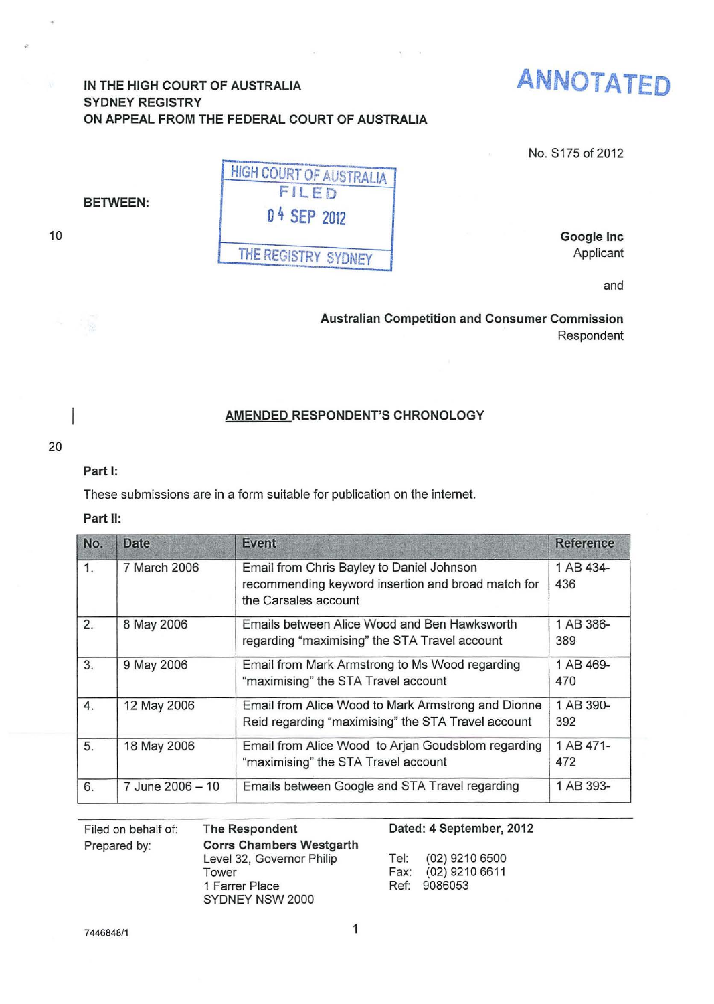# IN THE HIGH COURT OF AUSTRALIA SYDNEY REGISTRY ON APPEAL FROM THE FEDERAL COURT OF AUSTRALIA



No. S175 of 2012

BETWEEN:

10

| <b>HIGH COURT OF AUSTRALIA</b> |
|--------------------------------|
| FILED                          |
| 04 SEP 2012                    |
|                                |
| THE REGISTRY SYDNEY            |

Google Inc Applicant

and

Australian Competition and Consumer Commission Respondent

## AMENDED RESPONDENT'S CHRONOLOGY

### 20

## Part 1:

These submissions are in a form suitable for publication on the internet.

### Part II:

| No. | Date             | <b>Event</b>                                                                                                            | <b>Reference</b> |
|-----|------------------|-------------------------------------------------------------------------------------------------------------------------|------------------|
| 1.  | 7 March 2006     | Email from Chris Bayley to Daniel Johnson<br>recommending keyword insertion and broad match for<br>the Carsales account | 1 AB 434-<br>436 |
| 2.  | 8 May 2006       | Emails between Alice Wood and Ben Hawksworth<br>regarding "maximising" the STA Travel account                           | 1 AB 386-<br>389 |
| 3.  | 9 May 2006       | Email from Mark Armstrong to Ms Wood regarding<br>"maximising" the STA Travel account                                   | 1 AB 469-<br>470 |
| 4.  | 12 May 2006      | Email from Alice Wood to Mark Armstrong and Dionne<br>Reid regarding "maximising" the STA Travel account                | 1 AB 390-<br>392 |
| 5.  | 18 May 2006      | Email from Alice Wood to Arjan Goudsblom regarding<br>"maximising" the STA Travel account                               | 1 AB 471-<br>472 |
| 6.  | 7 June 2006 - 10 | Emails between Google and STA Travel regarding                                                                          | 1 AB 393-        |

Filed on behalf of: Prepared by: Tower

The Respondent Corrs Chambers Westgarth Level 32, Governor Philip 1 Farrer Place SYDNEY NSW 2000

### Dated: 4 September, 2012

Tel: (02) 9210 6500 Fax: (02) 9210 6611 Ref: 9086053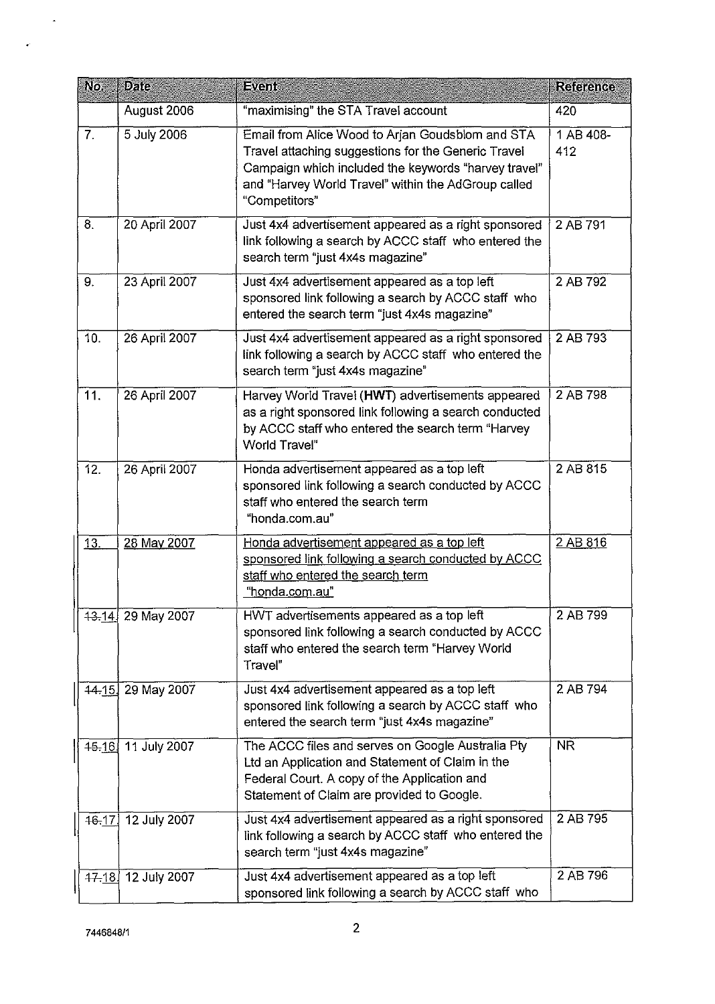| No.       | <b>Date</b>        | <b>Event</b>                                                                                                                                                                                                                            | <b>Reference</b> |
|-----------|--------------------|-----------------------------------------------------------------------------------------------------------------------------------------------------------------------------------------------------------------------------------------|------------------|
|           | August 2006        | "maximising" the STA Travel account                                                                                                                                                                                                     | 420              |
| 7.        | 5 July 2006        | Email from Alice Wood to Arjan Goudsblom and STA<br>Travel attaching suggestions for the Generic Travel<br>Campaign which included the keywords "harvey travel"<br>and "Harvey World Travel" within the AdGroup called<br>"Competitors" | 1 AB 408-<br>412 |
| 8.        | 20 April 2007      | Just 4x4 advertisement appeared as a right sponsored<br>link following a search by ACCC staff who entered the<br>search term "just 4x4s magazine"                                                                                       | 2 AB 791         |
| 9.        | 23 April 2007      | Just 4x4 advertisement appeared as a top left<br>sponsored link following a search by ACCC staff who<br>entered the search term "just 4x4s magazine"                                                                                    | 2 AB 792         |
| 10.       | 26 April 2007      | Just 4x4 advertisement appeared as a right sponsored<br>link following a search by ACCC staff who entered the<br>search term "just 4x4s magazine"                                                                                       | 2 AB 793         |
| 11.       | 26 April 2007      | Harvey World Travel (HWT) advertisements appeared<br>as a right sponsored link following a search conducted<br>by ACCC staff who entered the search term "Harvey<br>World Travel"                                                       | 2 AB 798         |
| 12.       | 26 April 2007      | Honda advertisement appeared as a top left<br>sponsored link following a search conducted by ACCC<br>staff who entered the search term<br>"honda.com.au"                                                                                | 2 AB 815         |
| 13.       | 28 May 2007        | Honda advertisement appeared as a top left<br>sponsored link following a search conducted by ACCC<br>staff who entered the search term<br>"honda.com.au"                                                                                | 2 AB 816         |
|           | 43-14 29 May 2007  | HWT advertisements appeared as a top left<br>sponsored link following a search conducted by ACCC<br>staff who entered the search term "Harvey World<br>Trayel"                                                                          | 2 AB 799         |
| 44.15     | 29 May 2007        | Just 4x4 advertisement appeared as a top left<br>sponsored link following a search by ACCC staff who<br>entered the search term "just 4x4s magazine"                                                                                    | 2 AB 794         |
|           | 45-16 11 July 2007 | The ACCC files and serves on Google Australia Pty<br>Ltd an Application and Statement of Claim in the<br>Federal Court. A copy of the Application and<br>Statement of Claim are provided to Google.                                     | <b>NR</b>        |
| 16.17     | 12 July 2007       | Just 4x4 advertisement appeared as a right sponsored<br>link following a search by ACCC staff who entered the<br>search term "just 4x4s magazine"                                                                                       | 2 AB 795         |
| $47 - 18$ | 12 July 2007       | Just 4x4 advertisement appeared as a top left<br>sponsored link following a search by ACCC staff who                                                                                                                                    | 2 AB 796         |

 $\sim$ 

 $\hat{\mathbf{r}}$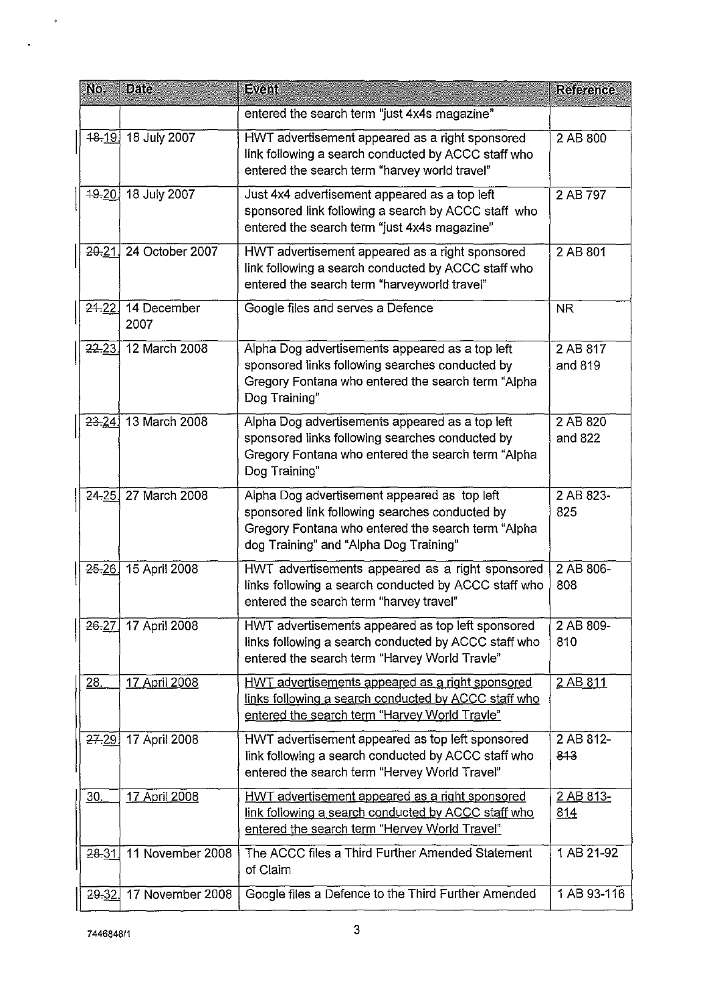| No.         | <b>Date</b>         | <b>Event</b>                                                                                                                                                                                   | <b>Reference</b>        |
|-------------|---------------------|------------------------------------------------------------------------------------------------------------------------------------------------------------------------------------------------|-------------------------|
|             |                     | entered the search term "just 4x4s magazine"                                                                                                                                                   |                         |
| $48 - 19$   | 18 July 2007        | HWT advertisement appeared as a right sponsored<br>link following a search conducted by ACCC staff who<br>entered the search term "harvey world travel"                                        | 2 AB 800                |
| $49 - 20$   | 18 July 2007        | Just 4x4 advertisement appeared as a top left<br>sponsored link following a search by ACCC staff who<br>entered the search term "just 4x4s magazine"                                           | 2 AB 797                |
| $20 - 21$   | 24 October 2007     | HWT advertisement appeared as a right sponsored<br>link following a search conducted by ACCC staff who<br>entered the search term "harveyworld travel"                                         | 2 AB 801                |
| 24.22       | 14 December<br>2007 | Google files and serves a Defence                                                                                                                                                              | <b>NR</b>               |
| 22.23.      | 12 March 2008       | Alpha Dog advertisements appeared as a top left<br>sponsored links following searches conducted by<br>Gregory Fontana who entered the search term "Alpha<br>Dog Training"                      | 2 AB 817<br>and 819     |
|             | 23.24 13 March 2008 | Alpha Dog advertisements appeared as a top left<br>sponsored links following searches conducted by<br>Gregory Fontana who entered the search term "Alpha<br>Dog Training"                      | 2 AB 820<br>and 822     |
|             | 24-25 27 March 2008 | Alpha Dog advertisement appeared as top left<br>sponsored link following searches conducted by<br>Gregory Fontana who entered the search term "Alpha<br>dog Training" and "Alpha Dog Training" | 2 AB 823-<br>825        |
| $25 - 26$   | 15 April 2008       | HWT advertisements appeared as a right sponsored<br>links following a search conducted by ACCC staff who<br>entered the search term "harvey travel"                                            | 2 AB 806-<br>808        |
| $26 - 27$ . | 17 April 2008       | HWT advertisements appeared as top left sponsored<br>links following a search conducted by ACCC staff who<br>entered the search term "Harvey World Travle"                                     | 2 AB 809-<br>810        |
| 28.         | 17 April 2008       | HWT advertisements appeared as a right sponsored<br>links following a search conducted by ACCC staff who<br>entered the search term "Harvey World Travle"                                      | 2 AB 811                |
| 27.29       | 17 April 2008       | HWT advertisement appeared as top left sponsored<br>link following a search conducted by ACCC staff who<br>entered the search term "Hervey World Travel"                                       | 2 AB 812-<br>813        |
| 30.         | 17 April 2008       | HWT advertisement appeared as a right sponsored<br>link following a search conducted by ACCC staff who<br>entered the search term "Hervey World Travel"                                        | 2 AB 813-<br><u>814</u> |
| 28.31       | 11 November 2008    | The ACCC files a Third Further Amended Statement<br>of Claim                                                                                                                                   | 1 AB 21-92              |
| 29.32.      | 17 November 2008    | Google files a Defence to the Third Further Amended                                                                                                                                            | 1 AB 93-116             |

 $\sim$   $\sigma$ 

 $\ddot{\phantom{a}}$